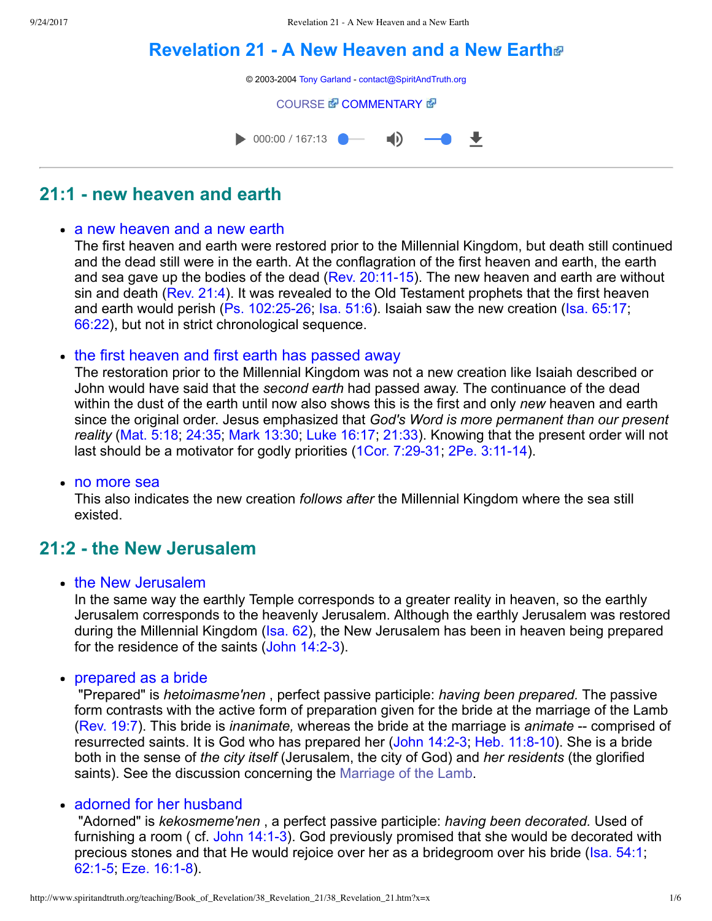# **[Revelation 21 A New Heaven and a New Earth](http://www.spiritandtruth.org/teaching/Book_of_Revelation/38_Revelation_21/index.htm)**



# **21:1 new heaven and earth**

#### • a new heaven and a new earth

The first heaven and earth were restored prior to the Millennial Kingdom, but death still continued and the dead still were in the earth. At the conflagration of the first heaven and earth, the earth and sea gave up the bodies of the dead (Rev.  $20:11-15$ ). The new heaven and earth are without sin and death ([Rev. 21:4](http://www.spiritandtruth.org/bibles/nasb/b66c021.htm#Rev._C21V4)). It was revealed to the Old Testament prophets that the first heaven and earth would perish (Ps. 102:25-26; [Isa. 51:6\)](http://www.spiritandtruth.org/bibles/nasb/b23c051.htm#Isa._C51V6). Isaiah saw the new creation (Isa.  $65:17$ ; [66:22](http://www.spiritandtruth.org/bibles/nasb/b23c066.htm#Isa._C66V22)), but not in strict chronological sequence.

#### • the first heaven and first earth has passed away

The restoration prior to the Millennial Kingdom was not a new creation like Isaiah described or John would have said that the *second earth* had passed away. The continuance of the dead within the dust of the earth until now also shows this is the first and only *new* heaven and earth since the original order. Jesus emphasized that *God's Word is more permanent than our present reality* [\(Mat. 5:18](http://www.spiritandtruth.org/bibles/nasb/b40c005.htm#Mat._C5V18); [24:35](http://www.spiritandtruth.org/bibles/nasb/b40c024.htm#Mat._C24V35); [Mark 13:30;](http://www.spiritandtruth.org/bibles/nasb/b41c013.htm#Mark_C13V30) [Luke 16:17](http://www.spiritandtruth.org/bibles/nasb/b42c016.htm#Luke_C16V17); [21:33\)](http://www.spiritandtruth.org/bibles/nasb/b42c021.htm#Luke_C21V33). Knowing that the present order will not last should be a motivator for godly priorities (1Cor. 7:29-31, 2Pe. 3:11-14).

• no more sea

This also indicates the new creation *follows after* the Millennial Kingdom where the sea still existed.

## **21:2 the New Jerusalem**

• the New Jerusalem

In the same way the earthly Temple corresponds to a greater reality in heaven, so the earthly Jerusalem corresponds to the heavenly Jerusalem. Although the earthly Jerusalem was restored during the Millennial Kingdom ([Isa. 62\)](http://www.spiritandtruth.org/bibles/nasb/b23c062.htm#Isa._C62V1), the New Jerusalem has been in heaven being prepared for the residence of the saints (John 14:2-3).

• prepared as a bride

 "Prepared" is *hetoimasme'nen* , perfect passive participle: *having been prepared.* The passive form contrasts with the active form of preparation given for the bride at the marriage of the Lamb [\(Rev. 19:7\)](http://www.spiritandtruth.org/bibles/nasb/b66c019.htm#Rev._C19V7). This bride is *inanimate*, whereas the bride at the marriage is *animate* -- comprised of resurrected saints. It is God who has prepared her (John 14:2-3; Heb. 11:8-10). She is a bride both in the sense of *the city itself* (Jerusalem, the city of God) and *her residents* (the glorified saints). See the discussion concerning the [Marriage of the Lamb](http://www.spiritandtruth.org/teaching/Book_of_Revelation/35_Revelation_19/index.htm).

#### • adorned for her husband

 "Adorned" is *kekosmeme'nen* , a perfect passive participle: *having been decorated.* Used of furnishing a room ( cf. John 14:1-3). God previously promised that she would be decorated with precious stones and that He would rejoice over her as a bridegroom over his bride ([Isa. 54:1](http://www.spiritandtruth.org/bibles/nasb/b23c054.htm#Isa._C54V1); 62:1-5, Eze. 16:1-8).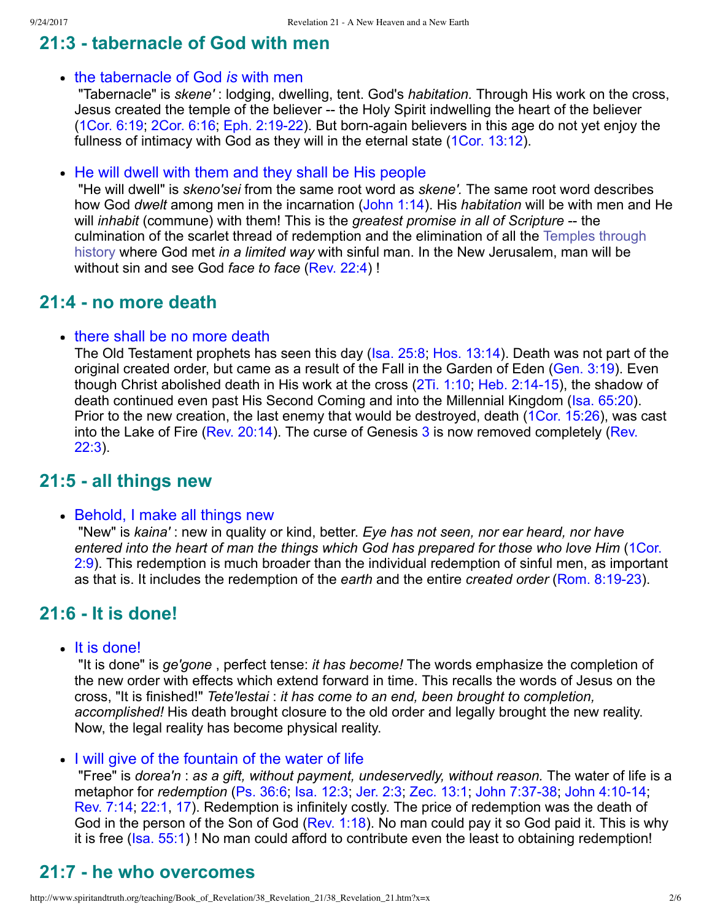# **21:3 tabernacle of God with men**

#### the tabernacle of God *is* with men

 "Tabernacle" is *skene'* : lodging, dwelling, tent. God's *habitation.* Through His work on the cross, Jesus created the temple of the believer -- the Holy Spirit indwelling the heart of the believer [\(1Cor. 6:19](http://www.spiritandtruth.org/bibles/nasb/b46c006.htm#1Cor._C6V19); [2Cor. 6:16;](http://www.spiritandtruth.org/bibles/nasb/b47c006.htm#2Cor._C6V16) Eph. 2:19-22). But born-again believers in this age do not vet eniov the fullness of intimacy with God as they will in the eternal state ([1Cor. 13:12\)](http://www.spiritandtruth.org/bibles/nasb/b46c013.htm#1Cor._C13V12).

• He will dwell with them and they shall be His people

 "He will dwell" is *skeno'sei* from the same root word as *skene'.* The same root word describes how God *dwelt* among men in the incarnation ([John 1:14](http://www.spiritandtruth.org/bibles/nasb/b43c001.htm#John_C1V14)). His *habitation* will be with men and He will *inhabit* (commune) with them! This is the *greatest promise in all of Scripture* -- the [culmination of the scarlet thread of redemption and the elimination of all the Temples through](http://www.spiritandtruth.org/teaching/Book_of_Revelation/26_Revelation_11/index.htm) history where God met *in a limited way* with sinful man. In the New Jerusalem, man will be without sin and see God *face to face* ([Rev. 22:4](http://www.spiritandtruth.org/bibles/nasb/b66c022.htm#Rev._C22V4)) !

## **21:4 no more death**

#### • there shall be no more death

The Old Testament prophets has seen this day ([Isa. 25:8;](http://www.spiritandtruth.org/bibles/nasb/b23c025.htm#Isa._C25V8) [Hos. 13:14](http://www.spiritandtruth.org/bibles/nasb/b28c013.htm#Hos._C13V14)). Death was not part of the original created order, but came as a result of the Fall in the Garden of Eden ([Gen. 3:19\)](http://www.spiritandtruth.org/bibles/nasb/b01c003.htm#Gen._C3V19). Even though Christ abolished death in His work at the cross  $(2Ti. 1:10; Heb. 2:14-15)$  $(2Ti. 1:10; Heb. 2:14-15)$ , the shadow of death continued even past His Second Coming and into the Millennial Kingdom [\(Isa. 65:20](http://www.spiritandtruth.org/bibles/nasb/b23c065.htm#Isa._C65V20)). Prior to the new creation, the last enemy that would be destroyed, death ([1Cor. 15:26](http://www.spiritandtruth.org/bibles/nasb/b46c015.htm#1Cor._C15V26)), was cast [into the Lake of Fire \(Rev. 20:14\). The curse of Genesis 3 is now removed completely \(Rev.](http://www.spiritandtruth.org/bibles/nasb/b66c022.htm#Rev._C22V3) 22:3).

## **21:5 all things new**

#### • Behold, I make all things new

 "New" is *kaina'* : new in quality or kind, better. *Eye has not seen, nor ear heard, nor have entered into the heart of man the things which God has prepared for those who love Him* (1Cor. [2:9\). This redemption is much broader than the individual redemption of sinful men, as importan](http://www.spiritandtruth.org/bibles/nasb/b46c002.htm#1Cor._C2V9)t as that is. It includes the redemption of the *earth* and the entire *created order* [\(Rom. 8:1923](http://www.spiritandtruth.org/bibles/nasb/b45c008.htm#Rom._C8V19)).

# **21:6 It is done!**

• It is done!

 "It is done" is *ge'gone* , perfect tense: *it has become!* The words emphasize the completion of the new order with effects which extend forward in time. This recalls the words of Jesus on the cross, "It is finished!" *Tete'lestai* : *it has come to an end, been brought to completion, accomplished!* His death brought closure to the old order and legally brought the new reality. Now, the legal reality has become physical reality.

I will give of the fountain of the water of life

 "Free" is *dorea'n* : *as a gift, without payment, undeservedly, without reason.* The water of life is a metaphor for *redemption* ([Ps. 36:6;](http://www.spiritandtruth.org/bibles/nasb/b19c036.htm#Ps._C36V6) [Isa. 12:3;](http://www.spiritandtruth.org/bibles/nasb/b23c012.htm#Isa._C12V3) [Jer. 2:3;](http://www.spiritandtruth.org/bibles/nasb/b24c002.htm#Jer._C2V3) [Zec. 13:1;](http://www.spiritandtruth.org/bibles/nasb/b38c013.htm#Zec._C13V1) John 7:37-38; John 4:10-14; [Rev. 7:14](http://www.spiritandtruth.org/bibles/nasb/b66c007.htm#Rev._C7V14); [22:1](http://www.spiritandtruth.org/bibles/nasb/b66c022.htm#Rev._C22V1), [17\)](http://www.spiritandtruth.org/bibles/nasb/b66c022.htm#Rev._C22V17). Redemption is infinitely costly. The price of redemption was the death of God in the person of the Son of God [\(Rev. 1:18\)](http://www.spiritandtruth.org/bibles/nasb/b66c001.htm#Rev._C1V18). No man could pay it so God paid it. This is why it is free ([Isa. 55:1](http://www.spiritandtruth.org/bibles/nasb/b23c055.htm#Isa._C55V1))! No man could afford to contribute even the least to obtaining redemption!

# **21:7 he who overcomes**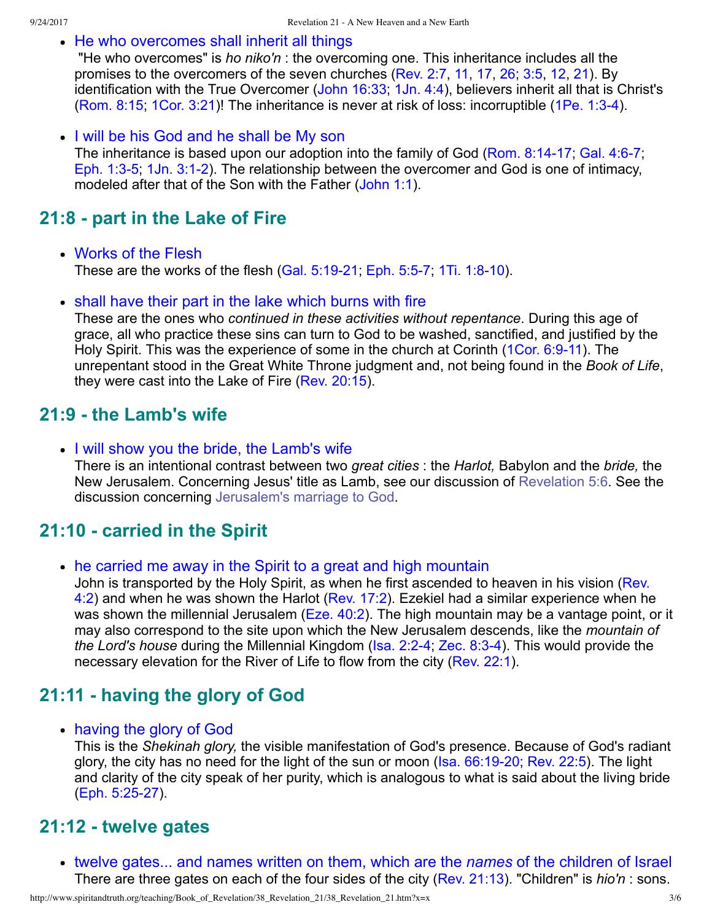• He who overcomes shall inherit all things

 "He who overcomes" is *ho niko'n* : the overcoming one. This inheritance includes all the promises to the overcomers of the seven churches [\(Rev. 2:7,](http://www.spiritandtruth.org/bibles/nasb/b66c002.htm#Rev._C2V7) [11](http://www.spiritandtruth.org/bibles/nasb/b66c002.htm#Rev._C2V11), [17,](http://www.spiritandtruth.org/bibles/nasb/b66c002.htm#Rev._C2V17) [26](http://www.spiritandtruth.org/bibles/nasb/b66c002.htm#Rev._C2V26); [3:5,](http://www.spiritandtruth.org/bibles/nasb/b66c003.htm#Rev._C3V5) [12,](http://www.spiritandtruth.org/bibles/nasb/b66c003.htm#Rev._C3V12) [21\)](http://www.spiritandtruth.org/bibles/nasb/b66c003.htm#Rev._C3V21). By identification with the True Overcomer [\(John 16:33;](http://www.spiritandtruth.org/bibles/nasb/b43c016.htm#John_C16V33) [1Jn. 4:4](http://www.spiritandtruth.org/bibles/nasb/b62c004.htm#1Jn._C4V4)), believers inherit all that is Christ's [\(Rom. 8:15](http://www.spiritandtruth.org/bibles/nasb/b45c008.htm#Rom._C8V15); [1Cor. 3:21\)](http://www.spiritandtruth.org/bibles/nasb/b46c003.htm#1Cor._C3V21)! The inheritance is never at risk of loss: incorruptible [\(1Pe. 1:34](http://www.spiritandtruth.org/bibles/nasb/b60c001.htm#1Pe._C1V3)).

• I will be his God and he shall be My son The inheritance is based upon our adoption into the family of God (Rom. 8:14-17; Gal. 4:6-7; Eph. 1:3-5; 1Jn. 3:1-2). The relationship between the overcomer and God is one of intimacy, modeled after that of the Son with the Father [\(John 1:1](http://www.spiritandtruth.org/bibles/nasb/b43c001.htm#John_C1V1)).

### **21:8 part in the Lake of Fire**

- Works of the Flesh These are the works of the flesh (Gal. 5:19-21; Eph. 5:5-7; 1Ti. 1:8-10).
- shall have their part in the lake which burns with fire

These are the ones who *continued in these activities without repentance*. During this age of grace, all who practice these sins can turn to God to be washed, sanctified, and justified by the Holy Spirit. This was the experience of some in the church at Corinth (1Cor. 6:9-11). The unrepentant stood in the Great White Throne judgment and, not being found in the *Book of Life*, they were cast into the Lake of Fire [\(Rev. 20:15\)](http://www.spiritandtruth.org/bibles/nasb/b66c020.htm#Rev._C20V15).

### **21:9 the Lamb's wife**

• I will show you the bride, the Lamb's wife

There is an intentional contrast between two *great cities* : the *Harlot,* Babylon and the *bride,* the New Jerusalem. Concerning Jesus' title as Lamb, see our discussion of [Revelation 5:6.](http://www.spiritandtruth.org/teaching/Book_of_Revelation/20_Revelation_5/index.htm) See the discussion concerning [Jerusalem's marriage to God.](http://www.spiritandtruth.org/teaching/Book_of_Revelation/35_Revelation_19/index.htm)

### **21:10 carried in the Spirit**

• he carried me away in the Spirit to a great and high mountain

[John is transported by the Holy Spirit, as when he first ascended to heaven in his vision \(Rev.](http://www.spiritandtruth.org/bibles/nasb/b66c004.htm#Rev._C4V2) 4:2) and when he was shown the Harlot [\(Rev. 17:2\)](http://www.spiritandtruth.org/bibles/nasb/b66c017.htm#Rev._C17V2). Ezekiel had a similar experience when he was shown the millennial Jerusalem ([Eze. 40:2\)](http://www.spiritandtruth.org/bibles/nasb/b26c040.htm#Eze._C40V2). The high mountain may be a vantage point, or it may also correspond to the site upon which the New Jerusalem descends, like the *mountain of the Lord's house* during the Millennial Kingdom (Isa. 2:2-4; Zec. 8:3-4). This would provide the necessary elevation for the River of Life to flow from the city [\(Rev. 22:1](http://www.spiritandtruth.org/bibles/nasb/b66c022.htm#Rev._C22V1)).

### **21:11 having the glory of God**

having the glory of God

This is the *Shekinah glory,* the visible manifestation of God's presence. Because of God's radiant glory, the city has no need for the light of the sun or moon (Isa. 66:19-20; [Rev. 22:5](http://www.spiritandtruth.org/bibles/nasb/b66c022.htm#Rev._C22V5)). The light and clarity of the city speak of her purity, which is analogous to what is said about the living bride (Eph. 5:25-27).

### **21:12 twelve gates**

twelve gates... and names written on them, which are the *names* of the children of Israel There are three gates on each of the four sides of the city [\(Rev. 21:13](http://www.spiritandtruth.org/bibles/nasb/b66c021.htm#Rev._C21V13)). "Children" is *hio'n* : sons.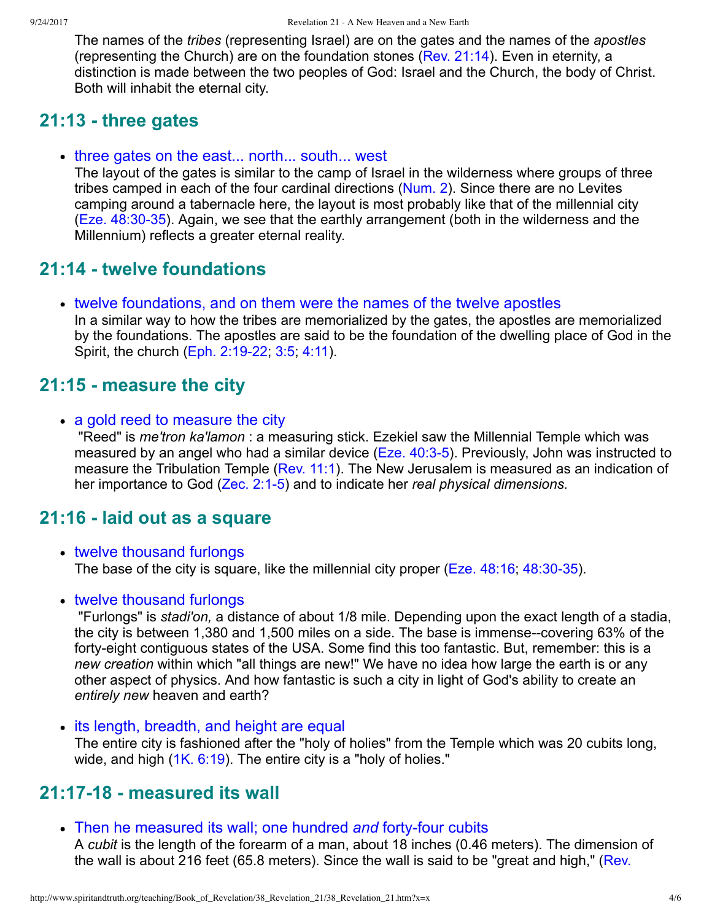The names of the *tribes* (representing Israel) are on the gates and the names of the *apostles* (representing the Church) are on the foundation stones ([Rev. 21:14](http://www.spiritandtruth.org/bibles/nasb/b66c021.htm#Rev._C21V14)). Even in eternity, a distinction is made between the two peoples of God: Israel and the Church, the body of Christ. Both will inhabit the eternal city.

## **21:13 three gates**

• three gates on the east... north... south... west

The layout of the gates is similar to the camp of Israel in the wilderness where groups of three tribes camped in each of the four cardinal directions [\(Num. 2](http://www.spiritandtruth.org/bibles/nasb/b04c002.htm#Num._C2V1)). Since there are no Levites camping around a tabernacle here, the layout is most probably like that of the millennial city  $(Eze. 48:30-35)$ . Again, we see that the earthly arrangement (both in the wilderness and the Millennium) reflects a greater eternal reality.

# **21:14 twelve foundations**

twelve foundations, and on them were the names of the twelve apostles

In a similar way to how the tribes are memorialized by the gates, the apostles are memorialized by the foundations. The apostles are said to be the foundation of the dwelling place of God in the Spirit, the church (Eph. 2:19-22, 3:5, [4:11](http://www.spiritandtruth.org/bibles/nasb/b49c004.htm#Eph._C4V11)).

## **21:15 measure the city**

• a gold reed to measure the city

 "Reed" is *me'tron ka'lamon* : a measuring stick. Ezekiel saw the Millennial Temple which was measured by an angel who had a similar device [\(Eze. 40:35\)](http://www.spiritandtruth.org/bibles/nasb/b26c040.htm#Eze._C40V3). Previously, John was instructed to measure the Tribulation Temple [\(Rev. 11:1](http://www.spiritandtruth.org/bibles/nasb/b66c011.htm#Rev._C11V1)). The New Jerusalem is measured as an indication of her importance to God (Zec. 2:1-5) and to indicate her *real physical dimensions*.

### **21:16 laid out as a square**

- twelve thousand furlongs The base of the city is square, like the millennial city proper ( $Eze. 48:16$ ,  $48:30-35$ ).
- twelve thousand furlongs

 "Furlongs" is *stadi'on,* a distance of about 1/8 mile. Depending upon the exact length of a stadia, the city is between 1,380 and 1,500 miles on a side. The base is immense--covering  $63\%$  of the fortyeight contiguous states of the USA. Some find this too fantastic. But, remember: this is a *new creation* within which "all things are new!" We have no idea how large the earth is or any other aspect of physics. And how fantastic is such a city in light of God's ability to create an *entirely new* heaven and earth?

• its length, breadth, and height are equal

The entire city is fashioned after the "holy of holies" from the Temple which was 20 cubits long, wide, and high ([1K. 6:19\)](http://www.spiritandtruth.org/bibles/nasb/b11c006.htm#1K._C6V19). The entire city is a "holy of holies."

## **21:1718 measured its wall**

• Then he measured its wall; one hundred *and* forty-four cubits

A *cubit* is the length of the forearm of a man, about 18 inches (0.46 meters). The dimension of [the wall is about 216 feet \(65.8 meters\). Since the wall is said to be "great and high," \(Rev.](http://www.spiritandtruth.org/bibles/nasb/b66c021.htm#Rev._C21V12)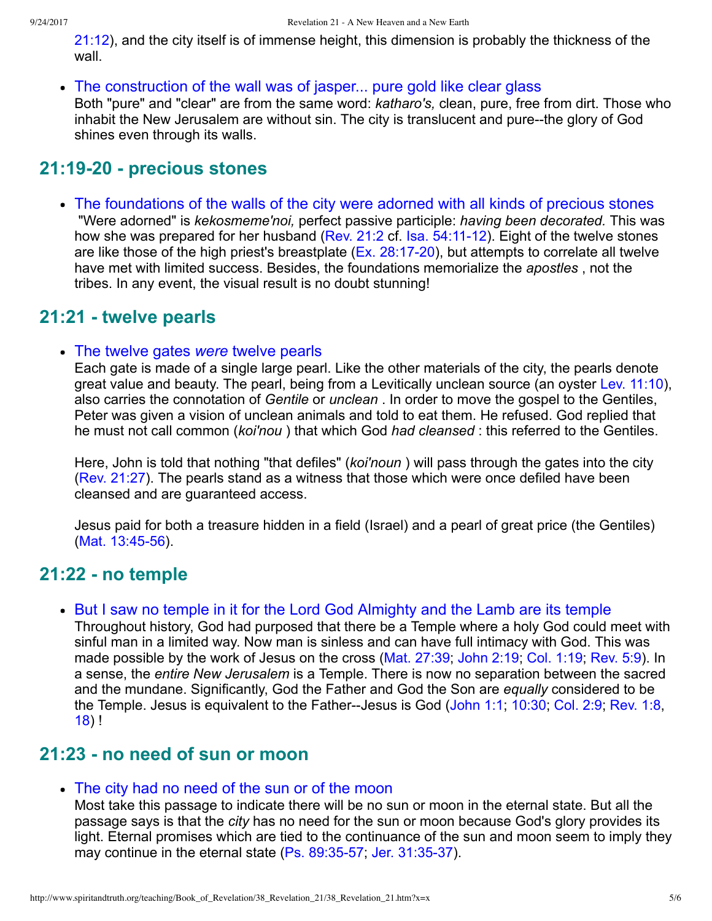[21:12\), and the city itself is of immense height, this dimension is probably the thickness of t](http://www.spiritandtruth.org/bibles/nasb/b66c021.htm#Rev._C21V12)he wall

• The construction of the wall was of jasper... pure gold like clear glass Both "pure" and "clear" are from the same word: *katharo's,* clean, pure, free from dirt. Those who inhabit the New Jerusalem are without sin. The city is translucent and pure--the glory of God shines even through its walls.

## **21:1920 precious stones**

The foundations of the walls of the city were adorned with all kinds of precious stones "Were adorned" is *kekosmeme'noi,* perfect passive participle: *having been decorated.* This was how she was prepared for her husband (Rev.  $21:2$  cf. Isa.  $54:11-12$ ). Eight of the twelve stones are like those of the high priest's breastplate ( $Ex. 28:17-20$ ), but attempts to correlate all twelve have met with limited success. Besides, the foundations memorialize the *apostles* , not the tribes. In any event, the visual result is no doubt stunning!

### **21:21 twelve pearls**

The twelve gates *were* twelve pearls

Each gate is made of a single large pearl. Like the other materials of the city, the pearls denote great value and beauty. The pearl, being from a Levitically unclean source (an oyster [Lev. 11:10\)](http://www.spiritandtruth.org/bibles/nasb/b03c011.htm#Lev._C11V10), also carries the connotation of *Gentile* or *unclean* . In order to move the gospel to the Gentiles, Peter was given a vision of unclean animals and told to eat them. He refused. God replied that he must not call common (*koi'nou* ) that which God *had cleansed* : this referred to the Gentiles.

Here, John is told that nothing "that defiles" (*koi'noun* ) will pass through the gates into the city [\(Rev. 21:27\)](http://www.spiritandtruth.org/bibles/nasb/b66c021.htm#Rev._C21V27). The pearls stand as a witness that those which were once defiled have been cleansed and are guaranteed access.

Jesus paid for both a treasure hidden in a field (Israel) and a pearl of great price (the Gentiles)  $(Mat. 13:45-56)$ .

### **21:22 no temple**

• But I saw no temple in it for the Lord God Almighty and the Lamb are its temple

Throughout history, God had purposed that there be a Temple where a holy God could meet with sinful man in a limited way. Now man is sinless and can have full intimacy with God. This was made possible by the work of Jesus on the cross ([Mat. 27:39](http://www.spiritandtruth.org/bibles/nasb/b40c027.htm#Mat._C27V39); [John 2:19;](http://www.spiritandtruth.org/bibles/nasb/b43c002.htm#John_C2V19) [Col. 1:19;](http://www.spiritandtruth.org/bibles/nasb/b51c001.htm#Col._C1V19) [Rev. 5:9\)](http://www.spiritandtruth.org/bibles/nasb/b66c005.htm#Rev._C5V9). In a sense, the *entire New Jerusalem* is a Temple. There is now no separation between the sacred and the mundane. Significantly, God the Father and God the Son are *equally* considered to be the Temple. Jesus is equivalent to the Father-Jesus is God [\(John 1:1](http://www.spiritandtruth.org/bibles/nasb/b43c001.htm#John_C1V1); [10:30;](http://www.spiritandtruth.org/bibles/nasb/b43c010.htm#John_C10V30) [Col. 2:9](http://www.spiritandtruth.org/bibles/nasb/b51c002.htm#Col._C2V9); [Rev. 1:8](http://www.spiritandtruth.org/bibles/nasb/b66c001.htm#Rev._C1V8), [18\)](http://www.spiritandtruth.org/bibles/nasb/b66c001.htm#Rev._C1V18) !

### **21:23 no need of sun or moon**

#### The city had no need of the sun or of the moon

Most take this passage to indicate there will be no sun or moon in the eternal state. But all the passage says is that the *city* has no need for the sun or moon because God's glory provides its light. Eternal promises which are tied to the continuance of the sun and moon seem to imply they may continue in the eternal state  $(Ps. 89:35-57, \text{Jer. } 31:35-37)$ .